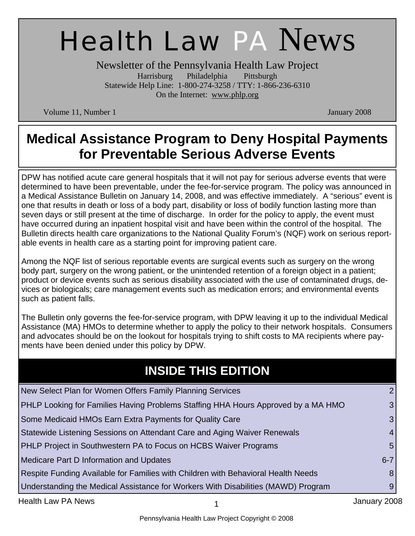# Health Law PA News

Newsletter of the Pennsylvania Health Law Project Harrisburg Philadelphia Pittsburgh Statewide Help Line: 1-800-274-3258 / TTY: 1-866-236-6310 On the Internet: www.phlp.org

Volume 11, Number 1 January 2008

## **Medical Assistance Program to Deny Hospital Payments for Preventable Serious Adverse Events**

DPW has notified acute care general hospitals that it will not pay for serious adverse events that were determined to have been preventable, under the fee-for-service program. The policy was announced in a Medical Assistance Bulletin on January 14, 2008, and was effective immediately. A "serious" event is one that results in death or loss of a body part, disability or loss of bodily function lasting more than seven days or still present at the time of discharge. In order for the policy to apply, the event must have occurred during an inpatient hospital visit and have been within the control of the hospital. The Bulletin directs health care organizations to the National Quality Forum's (NQF) work on serious reportable events in health care as a starting point for improving patient care.

Among the NQF list of serious reportable events are surgical events such as surgery on the wrong body part, surgery on the wrong patient, or the unintended retention of a foreign object in a patient; product or device events such as serious disability associated with the use of contaminated drugs, devices or biologicals; care management events such as medication errors; and environmental events such as patient falls.

The Bulletin only governs the fee-for-service program, with DPW leaving it up to the individual Medical Assistance (MA) HMOs to determine whether to apply the policy to their network hospitals. Consumers and advocates should be on the lookout for hospitals trying to shift costs to MA recipients where payments have been denied under this policy by DPW.

#### **INSIDE THIS EDITION**

| New Select Plan for Women Offers Family Planning Services                         | 2 <sub>1</sub> |
|-----------------------------------------------------------------------------------|----------------|
| PHLP Looking for Families Having Problems Staffing HHA Hours Approved by a MA HMO | 3              |
| Some Medicaid HMOs Earn Extra Payments for Quality Care                           | 3 <sup>1</sup> |
| Statewide Listening Sessions on Attendant Care and Aging Waiver Renewals          | 4              |
| PHLP Project in Southwestern PA to Focus on HCBS Waiver Programs                  | 5              |
| <b>Medicare Part D Information and Updates</b>                                    | $6-7$          |
| Respite Funding Available for Families with Children with Behavioral Health Needs | 8              |
| Understanding the Medical Assistance for Workers With Disabilities (MAWD) Program | 9              |
|                                                                                   |                |

Health Law PA News 2008 and the state of the state of the state of the state of the state of the state of the state of the state of the state of the state of the state of the state of the state of the state of the state of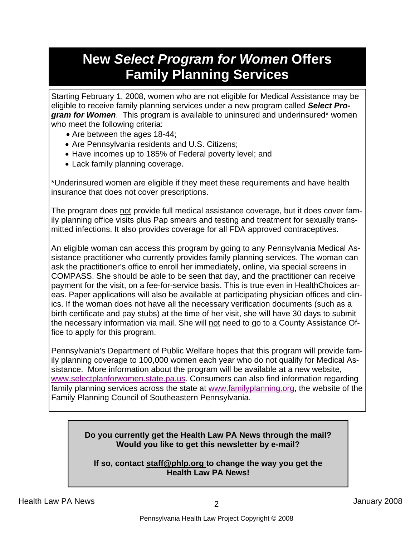## **New** *Select Program for Women* **Offers Family Planning Services**

Starting February 1, 2008, women who are not eligible for Medical Assistance may be eligible to receive family planning services under a new program called *Select Program for Women*. This program is available to uninsured and underinsured\* women who meet the following criteria:

- Are between the ages 18-44;
- Are Pennsylvania residents and U.S. Citizens;
- Have incomes up to 185% of Federal poverty level; and
- Lack family planning coverage.

\*Underinsured women are eligible if they meet these requirements and have health insurance that does not cover prescriptions.

The program does not provide full medical assistance coverage, but it does cover family planning office visits plus Pap smears and testing and treatment for sexually transmitted infections. It also provides coverage for all FDA approved contraceptives.

An eligible woman can access this program by going to any Pennsylvania Medical Assistance practitioner who currently provides family planning services. The woman can ask the practitioner's office to enroll her immediately, online, via special screens in COMPASS. She should be able to be seen that day, and the practitioner can receive payment for the visit, on a fee-for-service basis. This is true even in HealthChoices areas. Paper applications will also be available at participating physician offices and clinics. If the woman does not have all the necessary verification documents (such as a birth certificate and pay stubs) at the time of her visit, she will have 30 days to submit the necessary information via mail. She will not need to go to a County Assistance Office to apply for this program.

Pennsylvania's Department of Public Welfare hopes that this program will provide family planning coverage to 100,000 women each year who do not qualify for Medical Assistance. More information about the program will be available at a new website, www.selectplanforwomen.state.pa.us. Consumers can also find information regarding family planning services across the state at www.familyplanning.org, the website of the Family Planning Council of Southeastern Pennsylvania.

#### **Do you currently get the Health Law PA News through the mail? Would you like to get this newsletter by e-mail?**

**If so, contact staff@phlp.org to change the way you get the Health Law PA News!**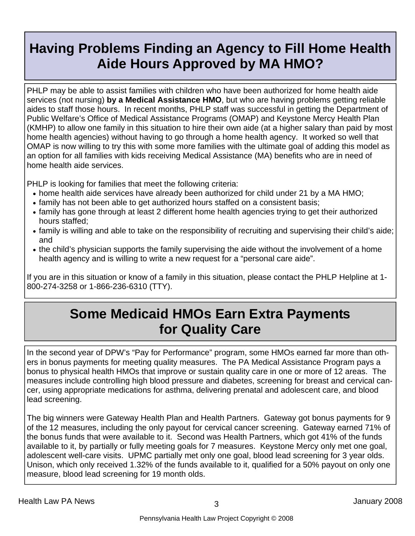## **Having Problems Finding an Agency to Fill Home Health Aide Hours Approved by MA HMO?**

PHLP may be able to assist families with children who have been authorized for home health aide services (not nursing) **by a Medical Assistance HMO**, but who are having problems getting reliable aides to staff those hours. In recent months, PHLP staff was successful in getting the Department of Public Welfare's Office of Medical Assistance Programs (OMAP) and Keystone Mercy Health Plan (KMHP) to allow one family in this situation to hire their own aide (at a higher salary than paid by most home health agencies) without having to go through a home health agency. It worked so well that OMAP is now willing to try this with some more families with the ultimate goal of adding this model as an option for all families with kids receiving Medical Assistance (MA) benefits who are in need of home health aide services.

PHLP is looking for families that meet the following criteria:

- home health aide services have already been authorized for child under 21 by a MA HMO;
- family has not been able to get authorized hours staffed on a consistent basis;
- family has gone through at least 2 different home health agencies trying to get their authorized hours staffed;
- family is willing and able to take on the responsibility of recruiting and supervising their child's aide; and
- the child's physician supports the family supervising the aide without the involvement of a home health agency and is willing to write a new request for a "personal care aide".

If you are in this situation or know of a family in this situation, please contact the PHLP Helpline at 1- 800-274-3258 or 1-866-236-6310 (TTY).

### **Some Medicaid HMOs Earn Extra Payments for Quality Care**

In the second year of DPW's "Pay for Performance" program, some HMOs earned far more than others in bonus payments for meeting quality measures. The PA Medical Assistance Program pays a bonus to physical health HMOs that improve or sustain quality care in one or more of 12 areas. The measures include controlling high blood pressure and diabetes, screening for breast and cervical cancer, using appropriate medications for asthma, delivering prenatal and adolescent care, and blood lead screening.

The big winners were Gateway Health Plan and Health Partners. Gateway got bonus payments for 9 of the 12 measures, including the only payout for cervical cancer screening. Gateway earned 71% of the bonus funds that were available to it. Second was Health Partners, which got 41% of the funds available to it, by partially or fully meeting goals for 7 measures. Keystone Mercy only met one goal, adolescent well-care visits. UPMC partially met only one goal, blood lead screening for 3 year olds. Unison, which only received 1.32% of the funds available to it, qualified for a 50% payout on only one measure, blood lead screening for 19 month olds.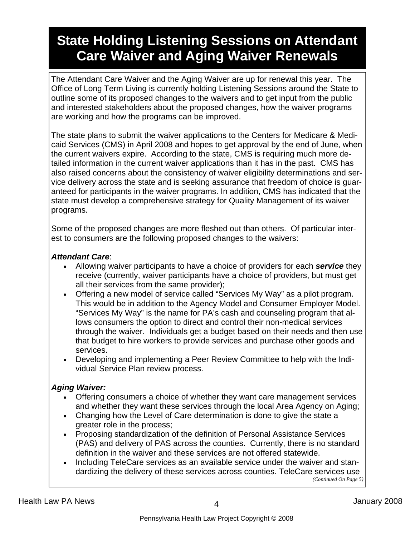# **State Holding Listening Sessions on Attendant Care Waiver and Aging Waiver Renewals**

The Attendant Care Waiver and the Aging Waiver are up for renewal this year. The Office of Long Term Living is currently holding Listening Sessions around the State to outline some of its proposed changes to the waivers and to get input from the public and interested stakeholders about the proposed changes, how the waiver programs are working and how the programs can be improved.

The state plans to submit the waiver applications to the Centers for Medicare & Medicaid Services (CMS) in April 2008 and hopes to get approval by the end of June, when the current waivers expire. According to the state, CMS is requiring much more detailed information in the current waiver applications than it has in the past. CMS has also raised concerns about the consistency of waiver eligibility determinations and service delivery across the state and is seeking assurance that freedom of choice is guaranteed for participants in the waiver programs. In addition, CMS has indicated that the state must develop a comprehensive strategy for Quality Management of its waiver programs.

Some of the proposed changes are more fleshed out than others. Of particular interest to consumers are the following proposed changes to the waivers:

#### *Attendant Care*:

- Allowing waiver participants to have a choice of providers for each *service* they receive (currently, waiver participants have a choice of providers, but must get all their services from the same provider);
- Offering a new model of service called "Services My Way" as a pilot program. This would be in addition to the Agency Model and Consumer Employer Model. "Services My Way" is the name for PA's cash and counseling program that allows consumers the option to direct and control their non-medical services through the waiver. Individuals get a budget based on their needs and then use that budget to hire workers to provide services and purchase other goods and services.
- Developing and implementing a Peer Review Committee to help with the Individual Service Plan review process.

#### *Aging Waiver:*

- Offering consumers a choice of whether they want care management services and whether they want these services through the local Area Agency on Aging;
- Changing how the Level of Care determination is done to give the state a greater role in the process;
- Proposing standardization of the definition of Personal Assistance Services (PAS) and delivery of PAS across the counties. Currently, there is no standard definition in the waiver and these services are not offered statewide.
- Including TeleCare services as an available service under the waiver and standardizing the delivery of these services across counties. TeleCare services use *(Continued On Page 5)*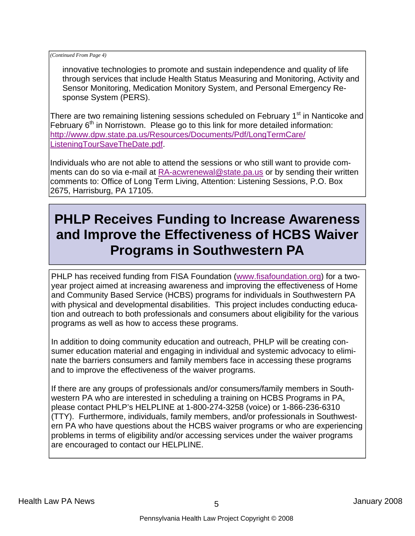*(Continued From Page 4)* 

innovative technologies to promote and sustain independence and quality of life through services that include Health Status Measuring and Monitoring, Activity and Sensor Monitoring, Medication Monitory System, and Personal Emergency Response System (PERS).

There are two remaining listening sessions scheduled on February 1<sup>st</sup> in Nanticoke and February  $6<sup>th</sup>$  in Norristown. Please go to this link for more detailed information: http://www.dpw.state.pa.us/Resources/Documents/Pdf/LongTermCare/ ListeningTourSaveTheDate.pdf.

Individuals who are not able to attend the sessions or who still want to provide comments can do so via e-mail at RA-acwrenewal@state.pa.us or by sending their written comments to: Office of Long Term Living, Attention: Listening Sessions, P.O. Box 2675, Harrisburg, PA 17105.

### **PHLP Receives Funding to Increase Awareness and Improve the Effectiveness of HCBS Waiver Programs in Southwestern PA**

PHLP has received funding from FISA Foundation (www.fisafoundation.org) for a twoyear project aimed at increasing awareness and improving the effectiveness of Home and Community Based Service (HCBS) programs for individuals in Southwestern PA with physical and developmental disabilities. This project includes conducting education and outreach to both professionals and consumers about eligibility for the various programs as well as how to access these programs.

In addition to doing community education and outreach, PHLP will be creating consumer education material and engaging in individual and systemic advocacy to eliminate the barriers consumers and family members face in accessing these programs and to improve the effectiveness of the waiver programs.

If there are any groups of professionals and/or consumers/family members in Southwestern PA who are interested in scheduling a training on HCBS Programs in PA, please contact PHLP's HELPLINE at 1-800-274-3258 (voice) or 1-866-236-6310 (TTY). Furthermore, individuals, family members, and/or professionals in Southwestern PA who have questions about the HCBS waiver programs or who are experiencing problems in terms of eligibility and/or accessing services under the waiver programs are encouraged to contact our HELPLINE.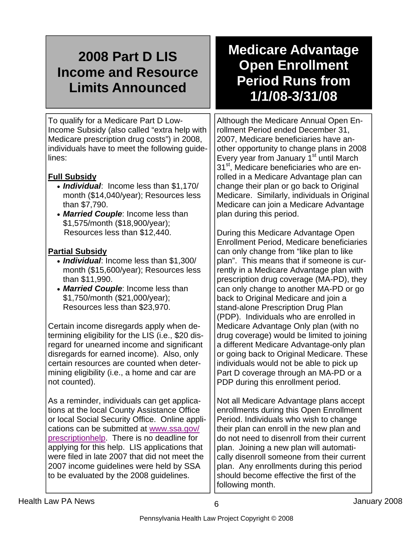## **2008 Part D LIS Income and Resource Limits Announced**

To qualify for a Medicare Part D Low-Income Subsidy (also called "extra help with Medicare prescription drug costs") in 2008, individuals have to meet the following guidelines:

#### **Full Subsidy**

- *Individual*: Income less than \$1,170/ month (\$14,040/year); Resources less than \$7,790.
- *Married Couple*: Income less than \$1,575/month (\$18,900/year); Resources less than \$12,440.

#### **Partial Subsidy**

- *Individual*: Income less than \$1,300/ month (\$15,600/year); Resources less than \$11,990.
- *Married Couple*: Income less than \$1,750/month (\$21,000/year); Resources less than \$23,970.

Certain income disregards apply when determining eligibility for the LIS (i.e., \$20 disregard for unearned income and significant disregards for earned income). Also, only certain resources are counted when determining eligibility (i.e., a home and car are not counted).

As a reminder, individuals can get applications at the local County Assistance Office or local Social Security Office. Online applications can be submitted at www.ssa.gov/ prescriptionhelp. There is no deadline for applying for this help. LIS applications that were filed in late 2007 that did not meet the 2007 income guidelines were held by SSA to be evaluated by the 2008 guidelines.

## **Medicare Advantage Open Enrollment Period Runs from 1/1/08-3/31/08**

Although the Medicare Annual Open Enrollment Period ended December 31, 2007, Medicare beneficiaries have another opportunity to change plans in 2008 Every year from January 1<sup>st</sup> until March 31<sup>st</sup>, Medicare beneficiaries who are enrolled in a Medicare Advantage plan can change their plan or go back to Original Medicare. Similarly, individuals in Original Medicare can join a Medicare Advantage plan during this period.

During this Medicare Advantage Open Enrollment Period, Medicare beneficiaries can only change from "like plan to like plan". This means that if someone is currently in a Medicare Advantage plan with prescription drug coverage (MA-PD), they can only change to another MA-PD or go back to Original Medicare and join a stand-alone Prescription Drug Plan (PDP). Individuals who are enrolled in Medicare Advantage Only plan (with no drug coverage) would be limited to joining a different Medicare Advantage-only plan or going back to Original Medicare. These individuals would not be able to pick up Part D coverage through an MA-PD or a PDP during this enrollment period.

Not all Medicare Advantage plans accept enrollments during this Open Enrollment Period. Individuals who wish to change their plan can enroll in the new plan and do not need to disenroll from their current plan. Joining a new plan will automatically disenroll someone from their current plan. Any enrollments during this period should become effective the first of the following month.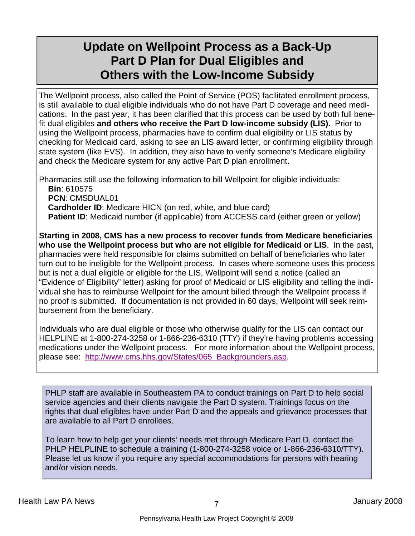#### **Update on Wellpoint Process as a Back-Up Part D Plan for Dual Eligibles and Others with the Low-Income Subsidy**

The Wellpoint process, also called the Point of Service (POS) facilitated enrollment process, is still available to dual eligible individuals who do not have Part D coverage and need medications. In the past year, it has been clarified that this process can be used by both full benefit dual eligibles **and others who receive the Part D low-income subsidy (LIS).** Prior to using the Wellpoint process, pharmacies have to confirm dual eligibility or LIS status by checking for Medicaid card, asking to see an LIS award letter, or confirming eligibility through state system (like EVS). In addition, they also have to verify someone's Medicare eligibility and check the Medicare system for any active Part D plan enrollment.

Pharmacies still use the following information to bill Wellpoint for eligible individuals:

 **Bin**: 610575  **PCN**: CMSDUAL01  **Cardholder ID**: Medicare HICN (on red, white, and blue card) **Patient ID:** Medicaid number (if applicable) from ACCESS card (either green or yellow)

**Starting in 2008, CMS has a new process to recover funds from Medicare beneficiaries who use the Wellpoint process but who are not eligible for Medicaid or LIS**. In the past, pharmacies were held responsible for claims submitted on behalf of beneficiaries who later turn out to be ineligible for the Wellpoint process. In cases where someone uses this process but is not a dual eligible or eligible for the LIS, Wellpoint will send a notice (called an "Evidence of Eligibility" letter) asking for proof of Medicaid or LIS eligibility and telling the individual she has to reimburse Wellpoint for the amount billed through the Wellpoint process if no proof is submitted. If documentation is not provided in 60 days, Wellpoint will seek reimbursement from the beneficiary.

Individuals who are dual eligible or those who otherwise qualify for the LIS can contact our HELPLINE at 1-800-274-3258 or 1-866-236-6310 (TTY) if they're having problems accessing medications under the Wellpoint process. For more information about the Wellpoint process, please see: http://www.cms.hhs.gov/States/065\_Backgrounders.asp.

PHLP staff are available in Southeastern PA to conduct trainings on Part D to help social service agencies and their clients navigate the Part D system. Trainings focus on the rights that dual eligibles have under Part D and the appeals and grievance processes that are available to all Part D enrollees.

To learn how to help get your clients' needs met through Medicare Part D, contact the PHLP HELPLINE to schedule a training (1-800-274-3258 voice or 1-866-236-6310/TTY). Please let us know if you require any special accommodations for persons with hearing and/or vision needs.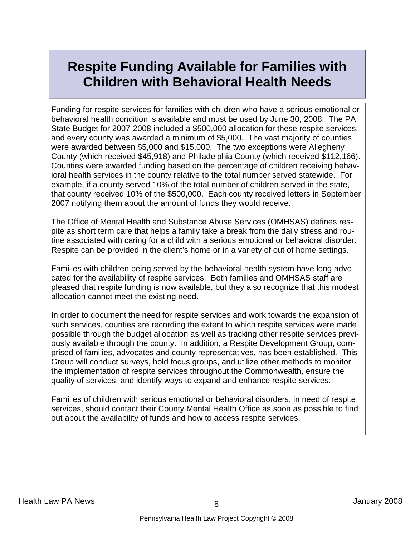## **Respite Funding Available for Families with Children with Behavioral Health Needs**

Funding for respite services for families with children who have a serious emotional or behavioral health condition is available and must be used by June 30, 2008. The PA State Budget for 2007-2008 included a \$500,000 allocation for these respite services, and every county was awarded a minimum of \$5,000. The vast majority of counties were awarded between \$5,000 and \$15,000. The two exceptions were Allegheny County (which received \$45,918) and Philadelphia County (which received \$112,166). Counties were awarded funding based on the percentage of children receiving behavioral health services in the county relative to the total number served statewide. For example, if a county served 10% of the total number of children served in the state, that county received 10% of the \$500,000. Each county received letters in September 2007 notifying them about the amount of funds they would receive.

The Office of Mental Health and Substance Abuse Services (OMHSAS) defines respite as short term care that helps a family take a break from the daily stress and routine associated with caring for a child with a serious emotional or behavioral disorder. Respite can be provided in the client's home or in a variety of out of home settings.

Families with children being served by the behavioral health system have long advocated for the availability of respite services. Both families and OMHSAS staff are pleased that respite funding is now available, but they also recognize that this modest allocation cannot meet the existing need.

In order to document the need for respite services and work towards the expansion of such services, counties are recording the extent to which respite services were made possible through the budget allocation as well as tracking other respite services previously available through the county. In addition, a Respite Development Group, comprised of families, advocates and county representatives, has been established. This Group will conduct surveys, hold focus groups, and utilize other methods to monitor the implementation of respite services throughout the Commonwealth, ensure the quality of services, and identify ways to expand and enhance respite services.

Families of children with serious emotional or behavioral disorders, in need of respite services, should contact their County Mental Health Office as soon as possible to find out about the availability of funds and how to access respite services.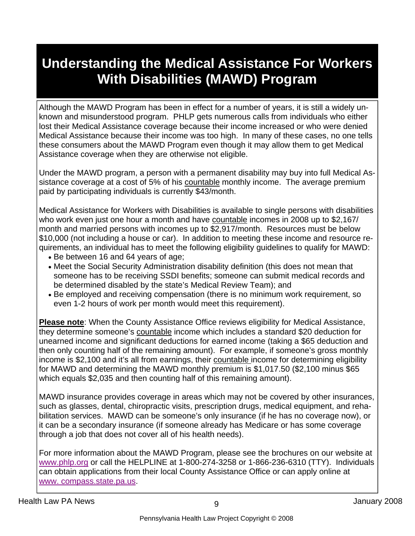# **Understanding the Medical Assistance For Workers With Disabilities (MAWD) Program**

Although the MAWD Program has been in effect for a number of years, it is still a widely unknown and misunderstood program. PHLP gets numerous calls from individuals who either lost their Medical Assistance coverage because their income increased or who were denied Medical Assistance because their income was too high. In many of these cases, no one tells these consumers about the MAWD Program even though it may allow them to get Medical Assistance coverage when they are otherwise not eligible.

Under the MAWD program, a person with a permanent disability may buy into full Medical Assistance coverage at a cost of 5% of his countable monthly income. The average premium paid by participating individuals is currently \$43/month.

Medical Assistance for Workers with Disabilities is available to single persons with disabilities who work even just one hour a month and have countable incomes in 2008 up to \$2,167/ month and married persons with incomes up to \$2,917/month. Resources must be below \$10,000 (not including a house or car). In addition to meeting these income and resource requirements, an individual has to meet the following eligibility guidelines to qualify for MAWD:

- Be between 16 and 64 years of age;
- Meet the Social Security Administration disability definition (this does not mean that someone has to be receiving SSDI benefits; someone can submit medical records and be determined disabled by the state's Medical Review Team); and
- Be employed and receiving compensation (there is no minimum work requirement, so even 1-2 hours of work per month would meet this requirement).

**Please note**: When the County Assistance Office reviews eligibility for Medical Assistance, they determine someone's countable income which includes a standard \$20 deduction for unearned income and significant deductions for earned income (taking a \$65 deduction and then only counting half of the remaining amount). For example, if someone's gross monthly income is \$2,100 and it's all from earnings, their countable income for determining eligibility for MAWD and determining the MAWD monthly premium is \$1,017.50 (\$2,100 minus \$65 which equals \$2,035 and then counting half of this remaining amount).

MAWD insurance provides coverage in areas which may not be covered by other insurances, such as glasses, dental, chiropractic visits, prescription drugs, medical equipment, and rehabilitation services. MAWD can be someone's only insurance (if he has no coverage now), or it can be a secondary insurance (if someone already has Medicare or has some coverage through a job that does not cover all of his health needs).

For more information about the MAWD Program, please see the brochures on our website at www.phlp.org or call the HELPLINE at 1-800-274-3258 or 1-866-236-6310 (TTY). Individuals can obtain applications from their local County Assistance Office or can apply online at www. compass.state.pa.us.